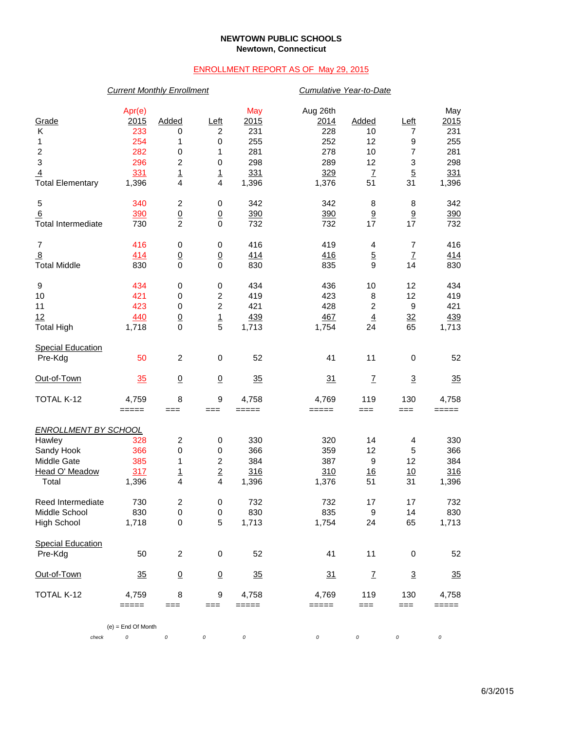### **NEWTOWN PUBLIC SCHOOLS Newtown, Connecticut**

## ENROLLMENT REPORT AS OF May 29, 2015

# *Current Monthly Enrollment Cumulative Year-to-Date*

| check                                       | $(e)$ = End Of Month<br>0 | 0                              | 0                           | $\it{O}$       | 0              | 0                    | 0                                           | 0              |
|---------------------------------------------|---------------------------|--------------------------------|-----------------------------|----------------|----------------|----------------------|---------------------------------------------|----------------|
|                                             | $=====$                   | $==$                           | ===                         | =====          | =====          | ===                  | ===                                         | =====          |
| TOTAL K-12                                  | 4,759                     | 8                              | $\boldsymbol{9}$            | 4,758          | 4,769          | 119                  | 130                                         | 4,758          |
| Out-of-Town                                 | 35                        | $\underline{0}$                | $\underline{0}$             | 35             | 31             | $\mathbf{Z}$         | $\overline{3}$                              | 35             |
| <b>Special Education</b><br>Pre-Kdg         | 50                        | $\overline{c}$                 | $\pmb{0}$                   | 52             | 41             | 11                   | 0                                           | 52             |
| <b>High School</b>                          | 1,718                     | $\pmb{0}$                      | 5                           | 1,713          | 1,754          | 24                   | 65                                          | 1,713          |
| Middle School                               | 830                       | $\mathbf 0$                    | $\mathbf 0$                 | 830            | 835            | 9                    | 14                                          | 830            |
| Reed Intermediate                           | 730                       | 2                              | 0                           | 732            | 732            | 17                   | 17                                          | 732            |
| Total                                       | 1,396                     | 4                              | 4                           | 1,396          | 1,376          | 51                   | 31                                          | 1,396          |
| Head O' Meadow                              | 317                       | <u>1</u>                       | $\mathbf 2$                 | 316            | 310            | 16                   | 10                                          | 316            |
| Middle Gate                                 | 385                       | 1                              | $\boldsymbol{2}$            | 384            | 387            | 9                    | 12                                          | 384            |
| Sandy Hook                                  | 366                       | 0                              | 0                           | 366            | 359            | 12                   | 5                                           | 366            |
| Hawley                                      | 328                       | $\overline{c}$                 | 0                           | 330            | 320            | 14                   | 4                                           | 330            |
| <b>ENROLLMENT BY SCHOOL</b>                 |                           |                                |                             |                |                |                      |                                             |                |
| TOTAL K-12                                  | 4,759<br>$=====$          | 8<br>$==$                      | 9<br>$==$                   | 4,758<br>===== | 4,769<br>===== | 119<br>$==$          | 130<br>===                                  | 4,758<br>===== |
| Out-of-Town                                 | 35                        | $\underline{0}$                | $\overline{0}$              | 35             | 31             | $\mathbf{Z}$         | $\overline{3}$                              | 35             |
|                                             |                           |                                |                             |                |                |                      |                                             |                |
| <b>Special Education</b><br>Pre-Kdg         | 50                        | $\sqrt{2}$                     | $\mathbf 0$                 | 52             | 41             | 11                   | $\mathbf 0$                                 | 52             |
| <b>Total High</b>                           | 1,718                     | $\mathbf 0$                    | 5                           | 1,713          | 1,754          | 24                   | 65                                          | 1,713          |
| 12                                          | 440                       | $\underline{0}$                | $\overline{1}$              | 439            | 467            | $\overline{4}$       | 32                                          | 439            |
| 11                                          | 423                       | $\pmb{0}$                      | $\overline{c}$              | 421            | 428            | $\overline{c}$       | 9                                           | 421            |
| 10                                          | 421                       | 0                              | $\boldsymbol{2}$            | 419            | 423            | 8                    | 12                                          | 419            |
| 9                                           | 434                       | 0                              | 0                           | 434            | 436            | 10                   | 12                                          | 434            |
| $\frac{8}{2}$<br><b>Total Middle</b>        | 414<br>830                | $\underline{0}$<br>$\mathbf 0$ | $\overline{0}$<br>$\pmb{0}$ | 414<br>830     | 416<br>835     | $\overline{5}$<br>9  | $\underline{7}$<br>14                       | 414<br>830     |
| $\boldsymbol{7}$                            | 416                       | 0                              | 0                           | 416            | 419            | 4                    | $\overline{7}$                              | 416            |
| <b>Total Intermediate</b>                   | 730                       | $\overline{2}$                 | $\overline{0}$<br>$\pmb{0}$ | 732            | 732            | 17                   | 17                                          | 732            |
| 5<br>6                                      | 340<br>390                | 2<br>$\underline{0}$           | 0                           | 342<br>390     | 342<br>390     | 8<br>$\underline{9}$ | 8<br>9                                      | 342<br>390     |
| <b>Total Elementary</b>                     | 1,396                     | $\frac{1}{4}$                  | 4                           | 1,396          | 1,376          | 51                   | 31                                          | 1,396          |
| $\ensuremath{\mathsf{3}}$<br>$\overline{4}$ | 296<br>331                | 2                              | $\pmb{0}$<br>$\overline{1}$ | 298<br>331     | 289<br>329     | 12<br>$\overline{1}$ | $\ensuremath{\mathsf{3}}$<br>$\overline{5}$ | 298<br>331     |
| $\boldsymbol{2}$                            | 282                       | $\pmb{0}$                      | 1                           | 281            | 278            | 10                   | $\overline{7}$                              | 281            |
| 1                                           | 254                       | 1                              | 0                           | 255            | 252            | 12                   | 9                                           | 255            |
| Κ                                           | 233                       | 0                              | 2                           | 231            | 228            | 10                   | 7                                           | 231            |
| Grade                                       | 2015                      | Added                          | Left                        | 2015           | 2014           | Added                | Left                                        | 2015           |
|                                             | Apr(e)                    |                                |                             | May            | Aug 26th       |                      |                                             | May            |